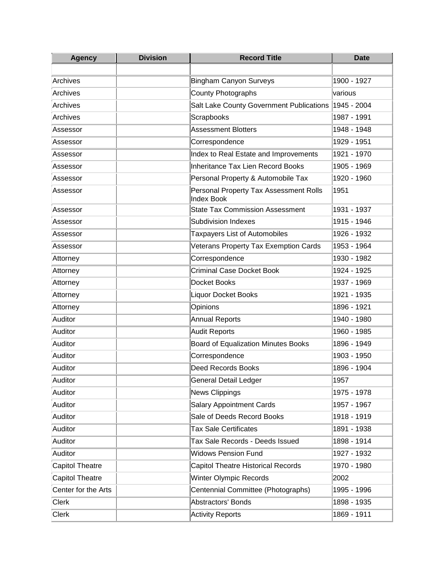| <b>Agency</b>       | <b>Division</b> | <b>Record Title</b>                                         | <b>Date</b> |
|---------------------|-----------------|-------------------------------------------------------------|-------------|
|                     |                 |                                                             |             |
| Archives            |                 | <b>Bingham Canyon Surveys</b>                               | 1900 - 1927 |
| Archives            |                 | <b>County Photographs</b>                                   | various     |
| <b>Archives</b>     |                 | Salt Lake County Government Publications 1945 - 2004        |             |
| <b>Archives</b>     |                 | Scrapbooks                                                  | 1987 - 1991 |
| Assessor            |                 | <b>Assessment Blotters</b>                                  | 1948 - 1948 |
| Assessor            |                 | Correspondence                                              | 1929 - 1951 |
| Assessor            |                 | Index to Real Estate and Improvements                       | 1921 - 1970 |
| Assessor            |                 | <b>Inheritance Tax Lien Record Books</b>                    | 1905 - 1969 |
| Assessor            |                 | Personal Property & Automobile Tax                          | 1920 - 1960 |
| Assessor            |                 | Personal Property Tax Assessment Rolls<br><b>Index Book</b> | 1951        |
| Assessor            |                 | <b>State Tax Commission Assessment</b>                      | 1931 - 1937 |
| Assessor            |                 | <b>Subdivision Indexes</b>                                  | 1915 - 1946 |
| Assessor            |                 | <b>Taxpayers List of Automobiles</b>                        | 1926 - 1932 |
| Assessor            |                 | Veterans Property Tax Exemption Cards                       | 1953 - 1964 |
| Attorney            |                 | Correspondence                                              | 1930 - 1982 |
| Attorney            |                 | <b>Criminal Case Docket Book</b>                            | 1924 - 1925 |
| Attorney            |                 | Docket Books                                                | 1937 - 1969 |
| Attorney            |                 | <b>Liquor Docket Books</b>                                  | 1921 - 1935 |
| Attorney            |                 | Opinions                                                    | 1896 - 1921 |
| Auditor             |                 | <b>Annual Reports</b>                                       | 1940 - 1980 |
| Auditor             |                 | <b>Audit Reports</b>                                        | 1960 - 1985 |
| Auditor             |                 | <b>Board of Equalization Minutes Books</b>                  | 1896 - 1949 |
| Auditor             |                 | Correspondence                                              | 1903 - 1950 |
| Auditor             |                 | <b>Deed Records Books</b>                                   | 1896 - 1904 |
| Auditor             |                 | General Detail Ledger                                       | 1957        |
| Auditor             |                 | <b>News Clippings</b>                                       | 1975 - 1978 |
| Auditor             |                 | <b>Salary Appointment Cards</b>                             | 1957 - 1967 |
| Auditor             |                 | Sale of Deeds Record Books                                  | 1918 - 1919 |
| Auditor             |                 | <b>Tax Sale Certificates</b>                                | 1891 - 1938 |
| Auditor             |                 | Tax Sale Records - Deeds Issued                             | 1898 - 1914 |
| Auditor             |                 | <b>Widows Pension Fund</b>                                  | 1927 - 1932 |
| Capitol Theatre     |                 | <b>Capitol Theatre Historical Records</b>                   | 1970 - 1980 |
| Capitol Theatre     |                 | <b>Winter Olympic Records</b>                               | 2002        |
| Center for the Arts |                 | Centennial Committee (Photographs)                          | 1995 - 1996 |
| <b>Clerk</b>        |                 | <b>Abstractors' Bonds</b>                                   | 1898 - 1935 |
| <b>Clerk</b>        |                 | <b>Activity Reports</b>                                     | 1869 - 1911 |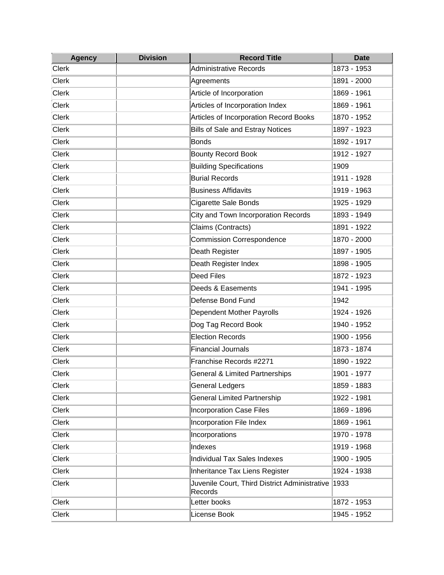| <b>Agency</b> | <b>Division</b> | <b>Record Title</b>                                      | <b>Date</b> |
|---------------|-----------------|----------------------------------------------------------|-------------|
| <b>Clerk</b>  |                 | <b>Administrative Records</b>                            | 1873 - 1953 |
| <b>Clerk</b>  |                 | Agreements                                               | 1891 - 2000 |
| <b>Clerk</b>  |                 | Article of Incorporation                                 | 1869 - 1961 |
| <b>Clerk</b>  |                 | Articles of Incorporation Index                          | 1869 - 1961 |
| <b>Clerk</b>  |                 | Articles of Incorporation Record Books                   | 1870 - 1952 |
| <b>Clerk</b>  |                 | <b>Bills of Sale and Estray Notices</b>                  | 1897 - 1923 |
| <b>Clerk</b>  |                 | <b>Bonds</b>                                             | 1892 - 1917 |
| <b>Clerk</b>  |                 | <b>Bounty Record Book</b>                                | 1912 - 1927 |
| <b>Clerk</b>  |                 | <b>Building Specifications</b>                           | 1909        |
| <b>Clerk</b>  |                 | <b>Burial Records</b>                                    | 1911 - 1928 |
| <b>Clerk</b>  |                 | <b>Business Affidavits</b>                               | 1919 - 1963 |
| <b>Clerk</b>  |                 | Cigarette Sale Bonds                                     | 1925 - 1929 |
| <b>Clerk</b>  |                 | City and Town Incorporation Records                      | 1893 - 1949 |
| <b>Clerk</b>  |                 | Claims (Contracts)                                       | 1891 - 1922 |
| <b>Clerk</b>  |                 | <b>Commission Correspondence</b>                         | 1870 - 2000 |
| <b>Clerk</b>  |                 | Death Register                                           | 1897 - 1905 |
| <b>Clerk</b>  |                 | Death Register Index                                     | 1898 - 1905 |
| <b>Clerk</b>  |                 | <b>Deed Files</b>                                        | 1872 - 1923 |
| <b>Clerk</b>  |                 | Deeds & Easements                                        | 1941 - 1995 |
| <b>Clerk</b>  |                 | Defense Bond Fund                                        | 1942        |
| <b>Clerk</b>  |                 | Dependent Mother Payrolls                                | 1924 - 1926 |
| <b>Clerk</b>  |                 | Dog Tag Record Book                                      | 1940 - 1952 |
| <b>Clerk</b>  |                 | <b>Election Records</b>                                  | 1900 - 1956 |
| <b>Clerk</b>  |                 | <b>Financial Journals</b>                                | 1873 - 1874 |
| <b>Clerk</b>  |                 | Franchise Records #2271                                  | 1890 - 1922 |
| <b>Clerk</b>  |                 | General & Limited Partnerships                           | 1901 - 1977 |
| <b>Clerk</b>  |                 | General Ledgers                                          | 1859 - 1883 |
| <b>Clerk</b>  |                 | <b>General Limited Partnership</b>                       | 1922 - 1981 |
| <b>Clerk</b>  |                 | <b>Incorporation Case Files</b>                          | 1869 - 1896 |
| <b>Clerk</b>  |                 | Incorporation File Index                                 | 1869 - 1961 |
| <b>Clerk</b>  |                 | Incorporations                                           | 1970 - 1978 |
| <b>Clerk</b>  |                 | Indexes                                                  | 1919 - 1968 |
| <b>Clerk</b>  |                 | <b>Individual Tax Sales Indexes</b>                      | 1900 - 1905 |
| <b>Clerk</b>  |                 | Inheritance Tax Liens Register                           | 1924 - 1938 |
| <b>Clerk</b>  |                 | Juvenile Court, Third District Administrative<br>Records | 1933        |
| <b>Clerk</b>  |                 | Letter books                                             | 1872 - 1953 |
| <b>Clerk</b>  |                 | License Book                                             | 1945 - 1952 |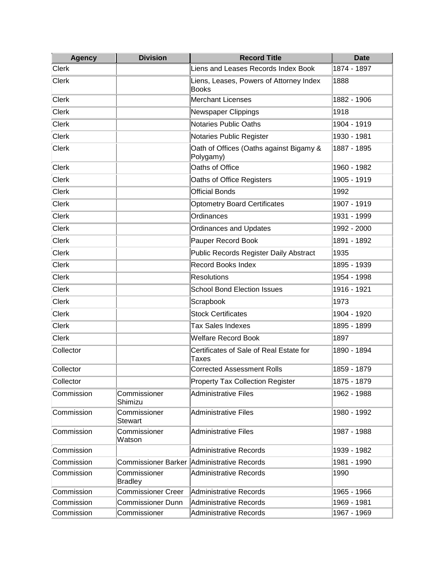| <b>Agency</b> | <b>Division</b>           | <b>Record Title</b>                                     | <b>Date</b> |
|---------------|---------------------------|---------------------------------------------------------|-------------|
| <b>Clerk</b>  |                           | Liens and Leases Records Index Book                     | 1874 - 1897 |
| <b>Clerk</b>  |                           | Liens, Leases, Powers of Attorney Index<br><b>Books</b> | 1888        |
| <b>Clerk</b>  |                           | <b>Merchant Licenses</b>                                | 1882 - 1906 |
| <b>Clerk</b>  |                           | Newspaper Clippings                                     | 1918        |
| <b>Clerk</b>  |                           | <b>Notaries Public Oaths</b>                            | 1904 - 1919 |
| <b>Clerk</b>  |                           | Notaries Public Register                                | 1930 - 1981 |
| <b>Clerk</b>  |                           | Oath of Offices (Oaths against Bigamy &<br>Polygamy)    | 1887 - 1895 |
| <b>Clerk</b>  |                           | Oaths of Office                                         | 1960 - 1982 |
| <b>Clerk</b>  |                           | Oaths of Office Registers                               | 1905 - 1919 |
| <b>Clerk</b>  |                           | <b>Official Bonds</b>                                   | 1992        |
| <b>Clerk</b>  |                           | <b>Optometry Board Certificates</b>                     | 1907 - 1919 |
| <b>Clerk</b>  |                           | Ordinances                                              | 1931 - 1999 |
| Clerk         |                           | <b>Ordinances and Updates</b>                           | 1992 - 2000 |
| <b>Clerk</b>  |                           | Pauper Record Book                                      | 1891 - 1892 |
| <b>Clerk</b>  |                           | Public Records Register Daily Abstract                  | 1935        |
| <b>Clerk</b>  |                           | <b>Record Books Index</b>                               | 1895 - 1939 |
| <b>Clerk</b>  |                           | Resolutions                                             | 1954 - 1998 |
| <b>Clerk</b>  |                           | <b>School Bond Election Issues</b>                      | 1916 - 1921 |
| <b>Clerk</b>  |                           | Scrapbook                                               | 1973        |
| <b>Clerk</b>  |                           | <b>Stock Certificates</b>                               | 1904 - 1920 |
| <b>Clerk</b>  |                           | <b>Tax Sales Indexes</b>                                | 1895 - 1899 |
| <b>Clerk</b>  |                           | <b>Welfare Record Book</b>                              | 1897        |
| Collector     |                           | Certificates of Sale of Real Estate for<br>Taxes        | 1890 - 1894 |
| Collector     |                           | <b>Corrected Assessment Rolls</b>                       | 1859 - 1879 |
| Collector     |                           | <b>Property Tax Collection Register</b>                 | 1875 - 1879 |
| Commission    | Commissioner<br>Shimizu   | <b>Administrative Files</b>                             | 1962 - 1988 |
| Commission    | Commissioner<br>Stewart   | <b>Administrative Files</b>                             | 1980 - 1992 |
| Commission    | Commissioner<br>Watson    | Administrative Files                                    | 1987 - 1988 |
| Commission    |                           | <b>Administrative Records</b>                           | 1939 - 1982 |
| Commission    |                           | Commissioner Barker Administrative Records              | 1981 - 1990 |
| Commission    | Commissioner<br>Bradley   | Administrative Records                                  | 1990        |
| Commission    | <b>Commissioner Creer</b> | Administrative Records                                  | 1965 - 1966 |
| Commission    | <b>Commissioner Dunn</b>  | <b>Administrative Records</b>                           | 1969 - 1981 |
| Commission    | Commissioner              | <b>Administrative Records</b>                           | 1967 - 1969 |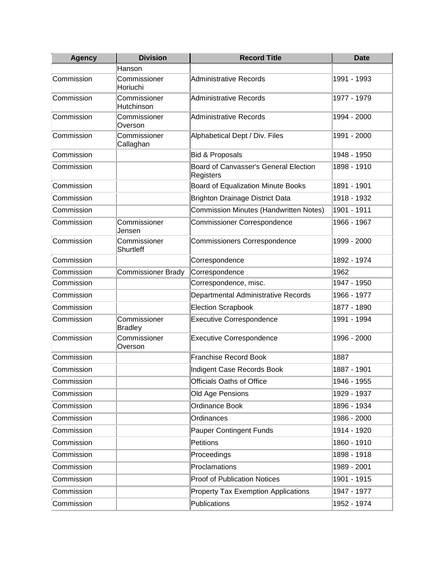| <b>Agency</b> | <b>Division</b>                | <b>Record Title</b>                                | <b>Date</b> |
|---------------|--------------------------------|----------------------------------------------------|-------------|
|               | Hanson                         |                                                    |             |
| Commission    | Commissioner<br>Horiuchi       | <b>Administrative Records</b>                      | 1991 - 1993 |
| Commission    | Commissioner<br>Hutchinson     | Administrative Records                             | 1977 - 1979 |
| Commission    | Commissioner<br>Overson        | Administrative Records                             | 1994 - 2000 |
| Commission    | Commissioner<br>Callaghan      | Alphabetical Dept / Div. Files                     | 1991 - 2000 |
| Commission    |                                | <b>Bid &amp; Proposals</b>                         | 1948 - 1950 |
| Commission    |                                | Board of Canvasser's General Election<br>Registers | 1898 - 1910 |
| Commission    |                                | Board of Equalization Minute Books                 | 1891 - 1901 |
| Commission    |                                | <b>Brighton Drainage District Data</b>             | 1918 - 1932 |
| Commission    |                                | Commission Minutes (Handwritten Notes)             | 1901 - 1911 |
| Commission    | Commissioner<br>Jensen         | <b>Commissioner Correspondence</b>                 | 1966 - 1967 |
| Commission    | Commissioner<br>Shurtleff      | <b>Commissioners Correspondence</b>                | 1999 - 2000 |
| Commission    |                                | Correspondence                                     | 1892 - 1974 |
| Commission    | <b>Commissioner Brady</b>      | Correspondence                                     | 1962        |
| Commission    |                                | Correspondence, misc.                              | 1947 - 1950 |
| Commission    |                                | Departmental Administrative Records                | 1966 - 1977 |
| Commission    |                                | <b>Election Scrapbook</b>                          | 1877 - 1890 |
| Commission    | Commissioner<br><b>Bradley</b> | <b>Executive Correspondence</b>                    | 1991 - 1994 |
| Commission    | Commissioner<br>Overson        | <b>Executive Correspondence</b>                    | 1996 - 2000 |
| Commission    |                                | <b>Franchise Record Book</b>                       | 1887        |
| Commission    |                                | Indigent Case Records Book                         | 1887 - 1901 |
| Commission    |                                | Officials Oaths of Office                          | 1946 - 1955 |
| Commission    |                                | Old Age Pensions                                   | 1929 - 1937 |
| Commission    |                                | Ordinance Book                                     | 1896 - 1934 |
| Commission    |                                | Ordinances                                         | 1986 - 2000 |
| Commission    |                                | Pauper Contingent Funds                            | 1914 - 1920 |
| Commission    |                                | Petitions                                          | 1860 - 1910 |
| Commission    |                                | Proceedings                                        | 1898 - 1918 |
| Commission    |                                | Proclamations                                      | 1989 - 2001 |
| Commission    |                                | <b>Proof of Publication Notices</b>                | 1901 - 1915 |
| Commission    |                                | <b>Property Tax Exemption Applications</b>         | 1947 - 1977 |
| Commission    |                                | Publications                                       | 1952 - 1974 |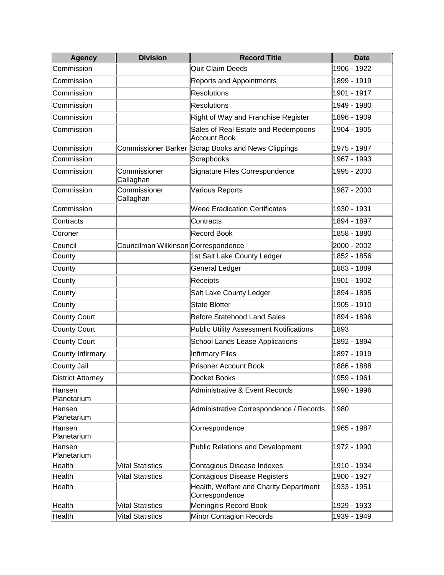| <b>Agency</b>         | <b>Division</b>                     | <b>Record Title</b>                                         | <b>Date</b> |
|-----------------------|-------------------------------------|-------------------------------------------------------------|-------------|
| Commission            |                                     | Quit Claim Deeds                                            | 1906 - 1922 |
| Commission            |                                     | <b>Reports and Appointments</b>                             | 1899 - 1919 |
| Commission            |                                     | <b>Resolutions</b>                                          | 1901 - 1917 |
| Commission            |                                     | Resolutions                                                 | 1949 - 1980 |
| Commission            |                                     | Right of Way and Franchise Register                         | 1896 - 1909 |
| Commission            |                                     | Sales of Real Estate and Redemptions<br><b>Account Book</b> | 1904 - 1905 |
| Commission            |                                     | Commissioner Barker Scrap Books and News Clippings          | 1975 - 1987 |
| Commission            |                                     | Scrapbooks                                                  | 1967 - 1993 |
| Commission            | Commissioner<br>Callaghan           | Signature Files Correspondence                              | 1995 - 2000 |
| Commission            | Commissioner<br>Callaghan           | Various Reports                                             | 1987 - 2000 |
| Commission            |                                     | <b>Weed Eradication Certificates</b>                        | 1930 - 1931 |
| Contracts             |                                     | Contracts                                                   | 1894 - 1897 |
| Coroner               |                                     | <b>Record Book</b>                                          | 1858 - 1880 |
| Council               | Councilman Wilkinson Correspondence |                                                             | 2000 - 2002 |
| County                |                                     | 1st Salt Lake County Ledger                                 | 1852 - 1856 |
| County                |                                     | General Ledger                                              | 1883 - 1889 |
| County                |                                     | Receipts                                                    | 1901 - 1902 |
| County                |                                     | Salt Lake County Ledger                                     | 1894 - 1895 |
| County                |                                     | <b>State Blotter</b>                                        | 1905 - 1910 |
| <b>County Court</b>   |                                     | <b>Before Statehood Land Sales</b>                          | 1894 - 1896 |
| <b>County Court</b>   |                                     | <b>Public Utility Assessment Notifications</b>              | 1893        |
| <b>County Court</b>   |                                     | School Lands Lease Applications                             | 1892 - 1894 |
| County Infirmary      |                                     | <b>Infirmary Files</b>                                      | 1897 - 1919 |
| County Jail           |                                     | <b>Prisoner Account Book</b>                                | 1886 - 1888 |
| District Attorney     |                                     | Docket Books                                                | 1959 - 1961 |
| Hansen<br>Planetarium |                                     | <b>Administrative &amp; Event Records</b>                   | 1990 - 1996 |
| Hansen<br>Planetarium |                                     | Administrative Correspondence / Records                     | 1980        |
| Hansen<br>Planetarium |                                     | Correspondence                                              | 1965 - 1987 |
| Hansen<br>Planetarium |                                     | <b>Public Relations and Development</b>                     | 1972 - 1990 |
| Health                | <b>Vital Statistics</b>             | Contagious Disease Indexes                                  | 1910 - 1934 |
| Health                | <b>Vital Statistics</b>             | Contagious Disease Registers                                | 1900 - 1927 |
| Health                |                                     | Health, Welfare and Charity Department<br>Correspondence    | 1933 - 1951 |
| Health                | <b>Vital Statistics</b>             | Meningitis Record Book                                      | 1929 - 1933 |
| Health                | <b>Vital Statistics</b>             | <b>Minor Contagion Records</b>                              | 1939 - 1949 |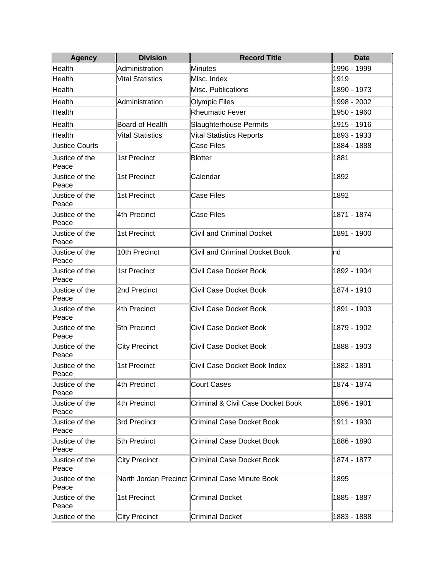| <b>Agency</b>           | <b>Division</b>         | <b>Record Title</b>                             | <b>Date</b> |
|-------------------------|-------------------------|-------------------------------------------------|-------------|
| Health                  | Administration          | <b>Minutes</b>                                  | 1996 - 1999 |
| Health                  | <b>Vital Statistics</b> | Misc. Index                                     | 1919        |
| Health                  |                         | Misc. Publications                              | 1890 - 1973 |
| Health                  | Administration          | Olympic Files                                   | 1998 - 2002 |
| Health                  |                         | <b>Rheumatic Fever</b>                          | 1950 - 1960 |
| Health                  | Board of Health         | <b>Slaughterhouse Permits</b>                   | 1915 - 1916 |
| Health                  | <b>Vital Statistics</b> | <b>Vital Statistics Reports</b>                 | 1893 - 1933 |
| <b>Justice Courts</b>   |                         | <b>Case Files</b>                               | 1884 - 1888 |
| Justice of the<br>Peace | 1st Precinct            | <b>Blotter</b>                                  | 1881        |
| Justice of the<br>Peace | 1st Precinct            | Calendar                                        | 1892        |
| Justice of the<br>Peace | 1st Precinct            | <b>Case Files</b>                               | 1892        |
| Justice of the<br>Peace | 4th Precinct            | <b>Case Files</b>                               | 1871 - 1874 |
| Justice of the<br>Peace | 1st Precinct            | <b>Civil and Criminal Docket</b>                | 1891 - 1900 |
| Justice of the<br>Peace | 10th Precinct           | Civil and Criminal Docket Book                  | Ind         |
| Justice of the<br>Peace | 1st Precinct            | <b>Civil Case Docket Book</b>                   | 1892 - 1904 |
| Justice of the<br>Peace | 2nd Precinct            | Civil Case Docket Book                          | 1874 - 1910 |
| Justice of the<br>Peace | 4th Precinct            | Civil Case Docket Book                          | 1891 - 1903 |
| Justice of the<br>Peace | 5th Precinct            | Civil Case Docket Book                          | 1879 - 1902 |
| Justice of the<br>Peace | <b>City Precinct</b>    | Civil Case Docket Book                          | 1888 - 1903 |
| Justice of the<br>Peace | 1st Precinct            | Civil Case Docket Book Index                    | 1882 - 1891 |
| Justice of the<br>Peace | 4th Precinct            | Court Cases                                     | 1874 - 1874 |
| Justice of the<br>Peace | 4th Precinct            | <b>Criminal &amp; Civil Case Docket Book</b>    | 1896 - 1901 |
| Justice of the<br>Peace | 3rd Precinct            | <b>Criminal Case Docket Book</b>                | 1911 - 1930 |
| Justice of the<br>Peace | 5th Precinct            | <b>Criminal Case Docket Book</b>                | 1886 - 1890 |
| Justice of the<br>Peace | <b>City Precinct</b>    | <b>Criminal Case Docket Book</b>                | 1874 - 1877 |
| Justice of the<br>Peace |                         | North Jordan Precinct Criminal Case Minute Book | 1895        |
| Justice of the<br>Peace | 1st Precinct            | <b>Criminal Docket</b>                          | 1885 - 1887 |
| Justice of the          | <b>City Precinct</b>    | <b>Criminal Docket</b>                          | 1883 - 1888 |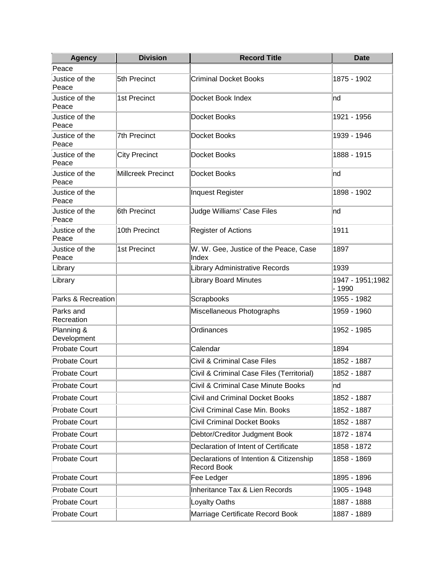| <b>Agency</b>             | <b>Division</b>           | <b>Record Title</b>                                           | <b>Date</b>                |
|---------------------------|---------------------------|---------------------------------------------------------------|----------------------------|
| Peace                     |                           |                                                               |                            |
| Justice of the<br>Peace   | 5th Precinct              | <b>Criminal Docket Books</b>                                  | 1875 - 1902                |
| Justice of the<br>Peace   | 1st Precinct              | Docket Book Index                                             | nd                         |
| Justice of the<br>Peace   |                           | Docket Books                                                  | 1921 - 1956                |
| Justice of the<br>Peace   | 7th Precinct              | Docket Books                                                  | 1939 - 1946                |
| Justice of the<br>Peace   | <b>City Precinct</b>      | Docket Books                                                  | 1888 - 1915                |
| Justice of the<br>Peace   | <b>Millcreek Precinct</b> | Docket Books                                                  | Ind                        |
| Justice of the<br>Peace   |                           | Inquest Register                                              | 1898 - 1902                |
| Justice of the<br>Peace   | 6th Precinct              | Judge Williams' Case Files                                    | Ind                        |
| Justice of the<br>Peace   | 10th Precinct             | Register of Actions                                           | 1911                       |
| Justice of the<br>Peace   | 1st Precinct              | W. W. Gee, Justice of the Peace, Case<br>Index                | 1897                       |
| Library                   |                           | Library Administrative Records                                | 1939                       |
| Library                   |                           | <b>Library Board Minutes</b>                                  | 1947 - 1951;1982<br>- 1990 |
| Parks & Recreation        |                           | Scrapbooks                                                    | 1955 - 1982                |
| Parks and<br>Recreation   |                           | Miscellaneous Photographs                                     | 1959 - 1960                |
| Planning &<br>Development |                           | Ordinances                                                    | 1952 - 1985                |
| Probate Court             |                           | Calendar                                                      | 1894                       |
| <b>Probate Court</b>      |                           | <b>Civil &amp; Criminal Case Files</b>                        | 1852 - 1887                |
| <b>Probate Court</b>      |                           | Civil & Criminal Case Files (Territorial)                     | 1852 - 1887                |
| <b>Probate Court</b>      |                           | Civil & Criminal Case Minute Books                            | nd                         |
| <b>Probate Court</b>      |                           | <b>Civil and Criminal Docket Books</b>                        | 1852 - 1887                |
| Probate Court             |                           | Civil Criminal Case Min. Books                                | 1852 - 1887                |
| <b>Probate Court</b>      |                           | <b>Civil Criminal Docket Books</b>                            | 1852 - 1887                |
| <b>Probate Court</b>      |                           | Debtor/Creditor Judgment Book                                 | 1872 - 1874                |
| <b>Probate Court</b>      |                           | Declaration of Intent of Certificate                          | 1858 - 1872                |
| <b>Probate Court</b>      |                           | Declarations of Intention & Citizenship<br><b>Record Book</b> | 1858 - 1869                |
| <b>Probate Court</b>      |                           | Fee Ledger                                                    | 1895 - 1896                |
| <b>Probate Court</b>      |                           | <b>Inheritance Tax &amp; Lien Records</b>                     | 1905 - 1948                |
| Probate Court             |                           | Loyalty Oaths                                                 | 1887 - 1888                |
| Probate Court             |                           | Marriage Certificate Record Book                              | 1887 - 1889                |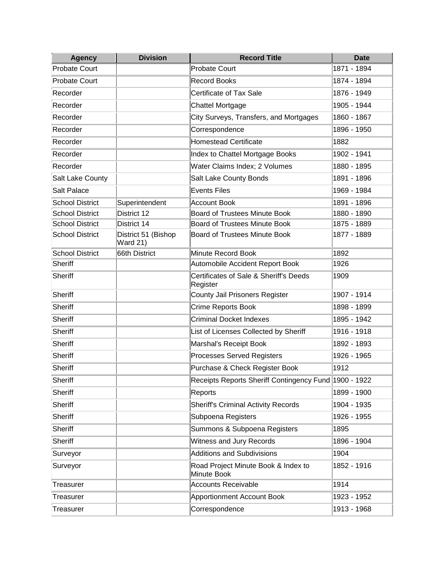| <b>Agency</b>          | <b>Division</b>                        | <b>Record Title</b>                                   | <b>Date</b> |
|------------------------|----------------------------------------|-------------------------------------------------------|-------------|
| <b>Probate Court</b>   |                                        | <b>Probate Court</b>                                  | 1871 - 1894 |
| <b>Probate Court</b>   |                                        | <b>Record Books</b>                                   | 1874 - 1894 |
| Recorder               |                                        | Certificate of Tax Sale                               | 1876 - 1949 |
| Recorder               |                                        | Chattel Mortgage                                      | 1905 - 1944 |
| Recorder               |                                        | City Surveys, Transfers, and Mortgages                | 1860 - 1867 |
| Recorder               |                                        | Correspondence                                        | 1896 - 1950 |
| Recorder               |                                        | <b>Homestead Certificate</b>                          | 1882        |
| Recorder               |                                        | Index to Chattel Mortgage Books                       | 1902 - 1941 |
| Recorder               |                                        | Water Claims Index; 2 Volumes                         | 1880 - 1895 |
| Salt Lake County       |                                        | Salt Lake County Bonds                                | 1891 - 1896 |
| <b>Salt Palace</b>     |                                        | <b>Events Files</b>                                   | 1969 - 1984 |
| <b>School District</b> | Superintendent                         | <b>Account Book</b>                                   | 1891 - 1896 |
| <b>School District</b> | District 12                            | <b>Board of Trustees Minute Book</b>                  | 1880 - 1890 |
| <b>School District</b> | District 14                            | <b>Board of Trustees Minute Book</b>                  | 1875 - 1889 |
| <b>School District</b> | District 51 (Bishop<br><b>Ward 21)</b> | <b>Board of Trustees Minute Book</b>                  | 1877 - 1889 |
| <b>School District</b> | 66th District                          | Minute Record Book                                    | 1892        |
| <b>Sheriff</b>         |                                        | Automobile Accident Report Book                       | 1926        |
| <b>Sheriff</b>         |                                        | Certificates of Sale & Sheriff's Deeds<br>Register    | 1909        |
| <b>Sheriff</b>         |                                        | County Jail Prisoners Register                        | 1907 - 1914 |
| <b>Sheriff</b>         |                                        | Crime Reports Book                                    | 1898 - 1899 |
| <b>Sheriff</b>         |                                        | <b>Criminal Docket Indexes</b>                        | 1895 - 1942 |
| <b>Sheriff</b>         |                                        | List of Licenses Collected by Sheriff                 | 1916 - 1918 |
| <b>Sheriff</b>         |                                        | Marshal's Receipt Book                                | 1892 - 1893 |
| <b>Sheriff</b>         |                                        | <b>Processes Served Registers</b>                     | 1926 - 1965 |
| <b>Sheriff</b>         |                                        | Purchase & Check Register Book                        | 1912        |
| <b>Sheriff</b>         |                                        | Receipts Reports Sheriff Contingency Fund 1900 - 1922 |             |
| <b>Sheriff</b>         |                                        | Reports                                               | 1899 - 1900 |
| <b>Sheriff</b>         |                                        | <b>Sheriff's Criminal Activity Records</b>            | 1904 - 1935 |
| <b>Sheriff</b>         |                                        | Subpoena Registers                                    | 1926 - 1955 |
| <b>Sheriff</b>         |                                        | Summons & Subpoena Registers                          | 1895        |
| <b>Sheriff</b>         |                                        | <b>Witness and Jury Records</b>                       | 1896 - 1904 |
| Surveyor               |                                        | <b>Additions and Subdivisions</b>                     | 1904        |
| Surveyor               |                                        | Road Project Minute Book & Index to<br>Minute Book    | 1852 - 1916 |
| Treasurer              |                                        | <b>Accounts Receivable</b>                            | 1914        |
| Treasurer              |                                        | <b>Apportionment Account Book</b>                     | 1923 - 1952 |
| Treasurer              |                                        | Correspondence                                        | 1913 - 1968 |